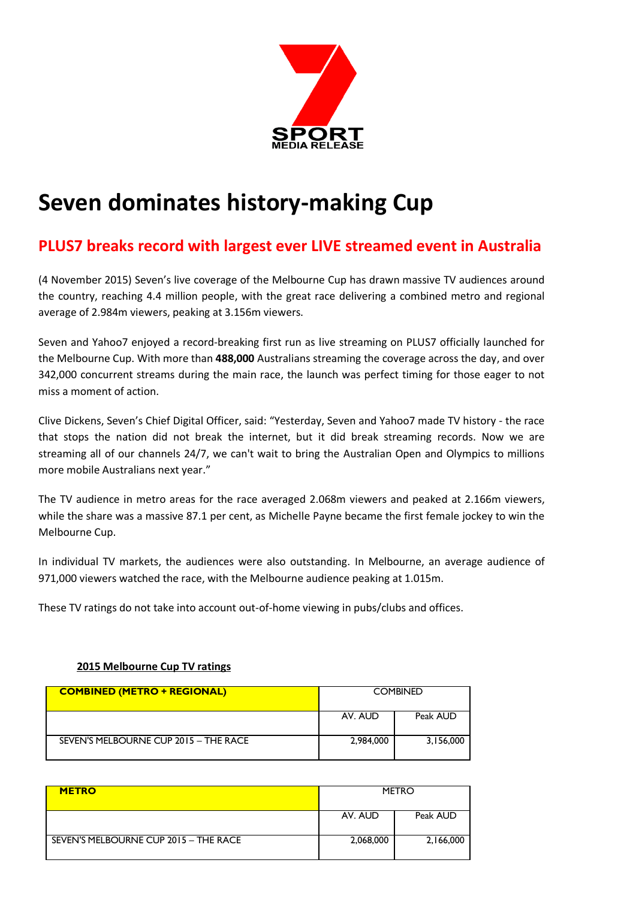

# **Seven dominates history-making Cup**

# **PLUS7 breaks record with largest ever LIVE streamed event in Australia**

(4 November 2015) Seven's live coverage of the Melbourne Cup has drawn massive TV audiences around the country, reaching 4.4 million people, with the great race delivering a combined metro and regional average of 2.984m viewers, peaking at 3.156m viewers.

Seven and Yahoo7 enjoyed a record-breaking first run as live streaming on PLUS7 officially launched for the Melbourne Cup. With more than **488,000** Australians streaming the coverage across the day, and over 342,000 concurrent streams during the main race, the launch was perfect timing for those eager to not miss a moment of action.

Clive Dickens, Seven's Chief Digital Officer, said: "Yesterday, Seven and Yahoo7 made TV history - the race that stops the nation did not break the internet, but it did break streaming records. Now we are streaming all of our channels 24/7, we can't wait to bring the Australian Open and Olympics to millions more mobile Australians next year."

The TV audience in metro areas for the race averaged 2.068m viewers and peaked at 2.166m viewers, while the share was a massive 87.1 per cent, as Michelle Payne became the first female jockey to win the Melbourne Cup.

In individual TV markets, the audiences were also outstanding. In Melbourne, an average audience of 971,000 viewers watched the race, with the Melbourne audience peaking at 1.015m.

These TV ratings do not take into account out-of-home viewing in pubs/clubs and offices.

# **2015 Melbourne Cup TV ratings**

| <b>COMBINED (METRO + REGIONAL)</b>    | <b>COMBINED</b> |           |  |
|---------------------------------------|-----------------|-----------|--|
|                                       | AV. AUD         | Peak AUD  |  |
| SEVEN'S MELBOURNE CUP 2015 - THE RACE | 2,984,000       | 3.156.000 |  |

| <b>METRO</b>                          | <b>METRO</b> |           |  |
|---------------------------------------|--------------|-----------|--|
|                                       | AV. AUD      | Peak AUD  |  |
| SEVEN'S MELBOURNE CUP 2015 - THE RACE | 2,068,000    | 2,166,000 |  |